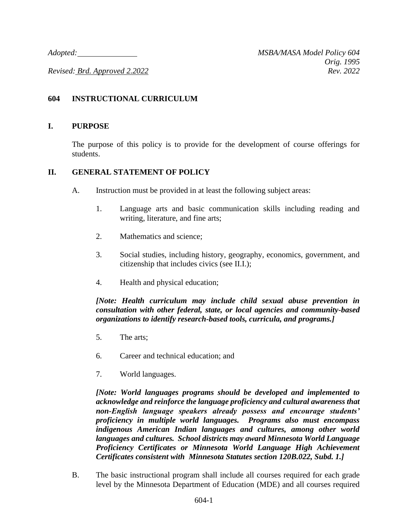*Revised: Brd. Approved 2.2022 Rev. 2022*

# **604 INSTRUCTIONAL CURRICULUM**

#### **I. PURPOSE**

The purpose of this policy is to provide for the development of course offerings for students.

### **II. GENERAL STATEMENT OF POLICY**

- A. Instruction must be provided in at least the following subject areas:
	- 1. Language arts and basic communication skills including reading and writing, literature, and fine arts;
	- 2. Mathematics and science;
	- 3. Social studies, including history, geography, economics, government, and citizenship that includes civics (see II.I.);
	- 4. Health and physical education;

*[Note: Health curriculum may include child sexual abuse prevention in consultation with other federal, state, or local agencies and community-based organizations to identify research-based tools, curricula, and programs.]*

- 5. The arts;
- 6. Career and technical education; and
- 7. World languages.

*[Note: World languages programs should be developed and implemented to acknowledge and reinforce the language proficiency and cultural awareness that non-English language speakers already possess and encourage students' proficiency in multiple world languages. Programs also must encompass indigenous American Indian languages and cultures, among other world languages and cultures. School districts may award Minnesota World Language Proficiency Certificates or Minnesota World Language High Achievement Certificates consistent with Minnesota Statutes section 120B.022, Subd. 1.]*

B. The basic instructional program shall include all courses required for each grade level by the Minnesota Department of Education (MDE) and all courses required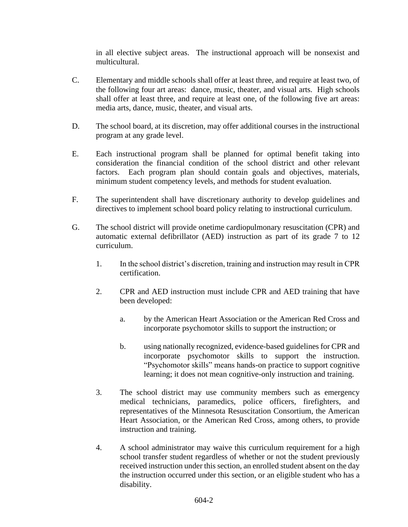in all elective subject areas. The instructional approach will be nonsexist and multicultural.

- C. Elementary and middle schools shall offer at least three, and require at least two, of the following four art areas: dance, music, theater, and visual arts. High schools shall offer at least three, and require at least one, of the following five art areas: media arts, dance, music, theater, and visual arts.
- D. The school board, at its discretion, may offer additional courses in the instructional program at any grade level.
- E. Each instructional program shall be planned for optimal benefit taking into consideration the financial condition of the school district and other relevant factors. Each program plan should contain goals and objectives, materials, minimum student competency levels, and methods for student evaluation.
- F. The superintendent shall have discretionary authority to develop guidelines and directives to implement school board policy relating to instructional curriculum.
- G. The school district will provide onetime cardiopulmonary resuscitation (CPR) and automatic external defibrillator (AED) instruction as part of its grade 7 to 12 curriculum.
	- 1. In the school district's discretion, training and instruction may result in CPR certification.
	- 2. CPR and AED instruction must include CPR and AED training that have been developed:
		- a. by the American Heart Association or the American Red Cross and incorporate psychomotor skills to support the instruction; or
		- b. using nationally recognized, evidence-based guidelines for CPR and incorporate psychomotor skills to support the instruction. "Psychomotor skills" means hands-on practice to support cognitive learning; it does not mean cognitive-only instruction and training.
	- 3. The school district may use community members such as emergency medical technicians, paramedics, police officers, firefighters, and representatives of the Minnesota Resuscitation Consortium, the American Heart Association, or the American Red Cross, among others, to provide instruction and training.
	- 4. A school administrator may waive this curriculum requirement for a high school transfer student regardless of whether or not the student previously received instruction under this section, an enrolled student absent on the day the instruction occurred under this section, or an eligible student who has a disability.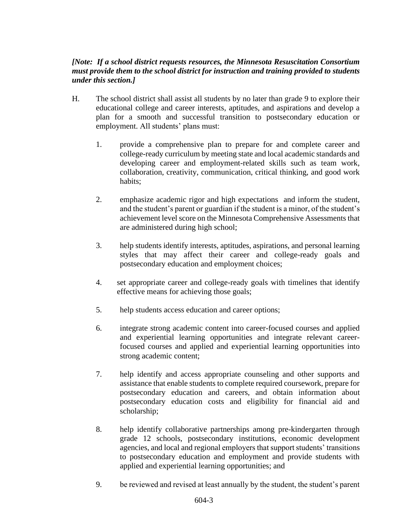# *[Note: If a school district requests resources, the Minnesota Resuscitation Consortium must provide them to the school district for instruction and training provided to students under this section.]*

- H. The school district shall assist all students by no later than grade 9 to explore their educational college and career interests, aptitudes, and aspirations and develop a plan for a smooth and successful transition to postsecondary education or employment. All students' plans must:
	- 1. provide a comprehensive plan to prepare for and complete career and college-ready curriculum by meeting state and local academic standards and developing career and employment-related skills such as team work, collaboration, creativity, communication, critical thinking, and good work habits;
	- 2. emphasize academic rigor and high expectations and inform the student, and the student's parent or guardian if the student is a minor, of the student's achievement level score on the Minnesota Comprehensive Assessments that are administered during high school;
	- 3. help students identify interests, aptitudes, aspirations, and personal learning styles that may affect their career and college-ready goals and postsecondary education and employment choices;
	- 4. set appropriate career and college-ready goals with timelines that identify effective means for achieving those goals;
	- 5. help students access education and career options;
	- 6. integrate strong academic content into career-focused courses and applied and experiential learning opportunities and integrate relevant careerfocused courses and applied and experiential learning opportunities into strong academic content;
	- 7. help identify and access appropriate counseling and other supports and assistance that enable students to complete required coursework, prepare for postsecondary education and careers, and obtain information about postsecondary education costs and eligibility for financial aid and scholarship;
	- 8. help identify collaborative partnerships among pre-kindergarten through grade 12 schools, postsecondary institutions, economic development agencies, and local and regional employers that support students' transitions to postsecondary education and employment and provide students with applied and experiential learning opportunities; and
	- 9. be reviewed and revised at least annually by the student, the student's parent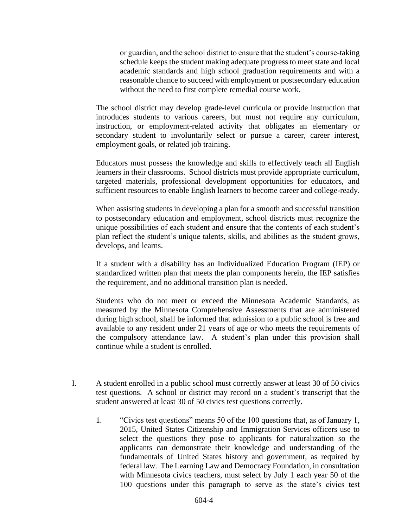or guardian, and the school district to ensure that the student's course-taking schedule keeps the student making adequate progress to meet state and local academic standards and high school graduation requirements and with a reasonable chance to succeed with employment or postsecondary education without the need to first complete remedial course work.

The school district may develop grade-level curricula or provide instruction that introduces students to various careers, but must not require any curriculum, instruction, or employment-related activity that obligates an elementary or secondary student to involuntarily select or pursue a career, career interest, employment goals, or related job training.

Educators must possess the knowledge and skills to effectively teach all English learners in their classrooms. School districts must provide appropriate curriculum, targeted materials, professional development opportunities for educators, and sufficient resources to enable English learners to become career and college-ready.

When assisting students in developing a plan for a smooth and successful transition to postsecondary education and employment, school districts must recognize the unique possibilities of each student and ensure that the contents of each student's plan reflect the student's unique talents, skills, and abilities as the student grows, develops, and learns.

If a student with a disability has an Individualized Education Program (IEP) or standardized written plan that meets the plan components herein, the IEP satisfies the requirement, and no additional transition plan is needed.

Students who do not meet or exceed the Minnesota Academic Standards, as measured by the Minnesota Comprehensive Assessments that are administered during high school, shall be informed that admission to a public school is free and available to any resident under 21 years of age or who meets the requirements of the compulsory attendance law. A student's plan under this provision shall continue while a student is enrolled.

- I. A student enrolled in a public school must correctly answer at least 30 of 50 civics test questions. A school or district may record on a student's transcript that the student answered at least 30 of 50 civics test questions correctly.
	- 1. "Civics test questions" means 50 of the 100 questions that, as of January 1, 2015, United States Citizenship and Immigration Services officers use to select the questions they pose to applicants for naturalization so the applicants can demonstrate their knowledge and understanding of the fundamentals of United States history and government, as required by federal law. The Learning Law and Democracy Foundation, in consultation with Minnesota civics teachers, must select by July 1 each year 50 of the 100 questions under this paragraph to serve as the state's civics test